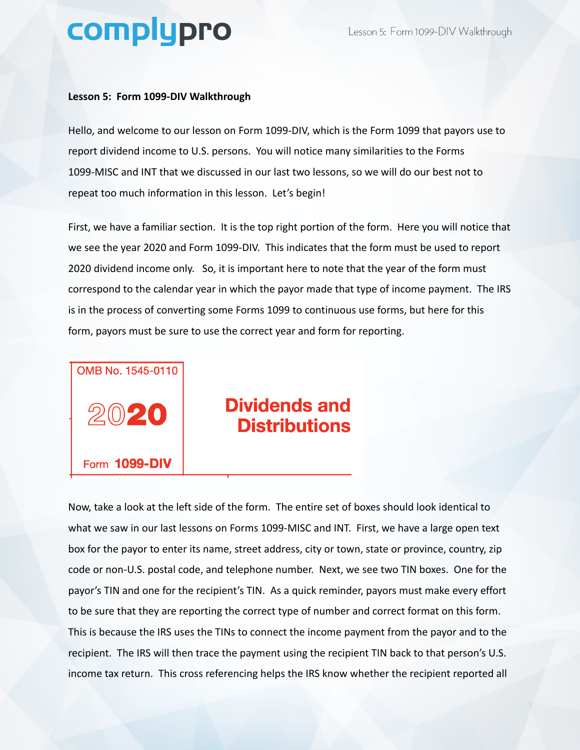## complypro

## **Lesson 5: Form 1099-DIV Walkthrough**

Hello, and welcome to our lesson on Form 1099-DIV, which is the Form 1099 that payors use to report dividend income to U.S. persons. You will notice many similarities to the Forms 1099-MISC and INT that we discussed in our last two lessons, so we will do our best not to repeat too much information in this lesson. Let's begin!

First, we have a familiar section. It is the top right portion of the form. Here you will notice that we see the year 2020 and Form 1099-DIV. This indicates that the form must be used to report 2020 dividend income only. So, it is important here to note that the year of the form must correspond to the calendar year in which the payor made that type of income payment. The IRS is in the process of converting some Forms 1099 to continuous use forms, but here for this form, payors must be sure to use the correct year and form for reporting.



## **Dividends and Distributions**

Now, take a look at the left side of the form. The entire set of boxes should look identical to what we saw in our last lessons on Forms 1099-MISC and INT. First, we have a large open text box for the payor to enter its name, street address, city or town, state or province, country, zip code or non-U.S. postal code, and telephone number. Next, we see two TIN boxes. One for the payor's TIN and one for the recipient's TIN. As a quick reminder, payors must make every effort to be sure that they are reporting the correct type of number and correct format on this form. This is because the IRS uses the TINs to connect the income payment from the payor and to the recipient. The IRS will then trace the payment using the recipient TIN back to that person's U.S. income tax return. This cross referencing helps the IRS know whether the recipient reported all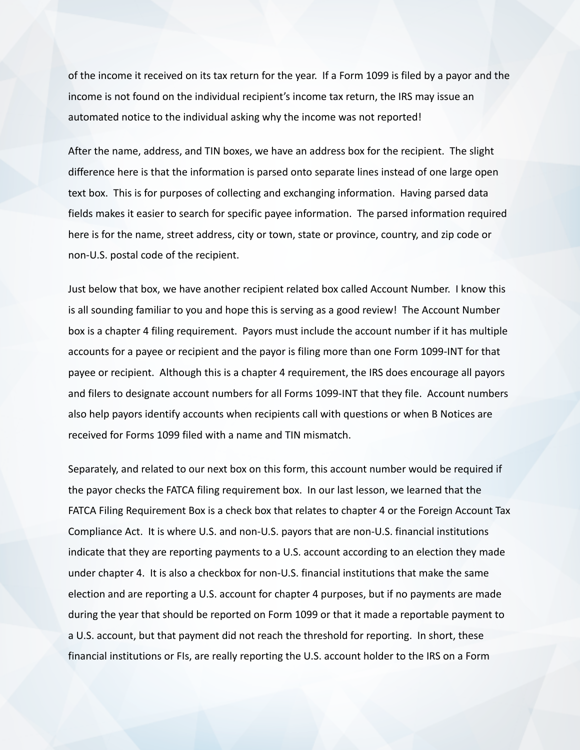of the income it received on its tax return for the year. If a Form 1099 is filed by a payor and the income is not found on the individual recipient's income tax return, the IRS may issue an automated notice to the individual asking why the income was not reported!

After the name, address, and TIN boxes, we have an address box for the recipient. The slight difference here is that the information is parsed onto separate lines instead of one large open text box. This is for purposes of collecting and exchanging information. Having parsed data fields makes it easier to search for specific payee information. The parsed information required here is for the name, street address, city or town, state or province, country, and zip code or non-U.S. postal code of the recipient.

Just below that box, we have another recipient related box called Account Number. I know this is all sounding familiar to you and hope this is serving as a good review! The Account Number box is a chapter 4 filing requirement. Payors must include the account number if it has multiple accounts for a payee or recipient and the payor is filing more than one Form 1099-INT for that payee or recipient. Although this is a chapter 4 requirement, the IRS does encourage all payors and filers to designate account numbers for all Forms 1099-INT that they file. Account numbers also help payors identify accounts when recipients call with questions or when B Notices are received for Forms 1099 filed with a name and TIN mismatch.

Separately, and related to our next box on this form, this account number would be required if the payor checks the FATCA filing requirement box. In our last lesson, we learned that the FATCA Filing Requirement Box is a check box that relates to chapter 4 or the Foreign Account Tax Compliance Act. It is where U.S. and non-U.S. payors that are non-U.S. financial institutions indicate that they are reporting payments to a U.S. account according to an election they made under chapter 4. It is also a checkbox for non-U.S. financial institutions that make the same election and are reporting a U.S. account for chapter 4 purposes, but if no payments are made during the year that should be reported on Form 1099 or that it made a reportable payment to a U.S. account, but that payment did not reach the threshold for reporting. In short, these financial institutions or FIs, are really reporting the U.S. account holder to the IRS on a Form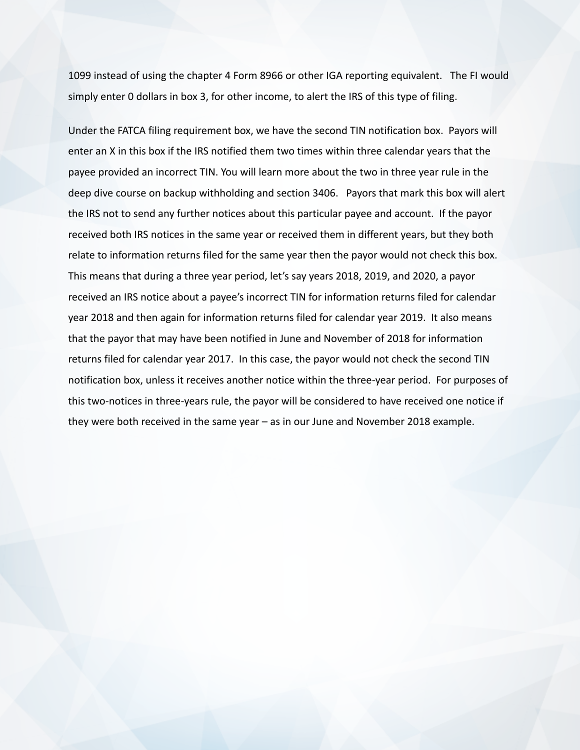1099 instead of using the chapter 4 Form 8966 or other IGA reporting equivalent. The FI would simply enter 0 dollars in box 3, for other income, to alert the IRS of this type of filing.

Under the FATCA filing requirement box, we have the second TIN notification box. Payors will enter an X in this box if the IRS notified them two times within three calendar years that the payee provided an incorrect TIN. You will learn more about the two in three year rule in the deep dive course on backup withholding and section 3406. Payors that mark this box will alert the IRS not to send any further notices about this particular payee and account. If the payor received both IRS notices in the same year or received them in different years, but they both relate to information returns filed for the same year then the payor would not check this box. This means that during a three year period, let's say years 2018, 2019, and 2020, a payor received an IRS notice about a payee's incorrect TIN for information returns filed for calendar year 2018 and then again for information returns filed for calendar year 2019. It also means that the payor that may have been notified in June and November of 2018 for information returns filed for calendar year 2017. In this case, the payor would not check the second TIN notification box, unless it receives another notice within the three-year period. For purposes of this two-notices in three-years rule, the payor will be considered to have received one notice if they were both received in the same year – as in our June and November 2018 example.